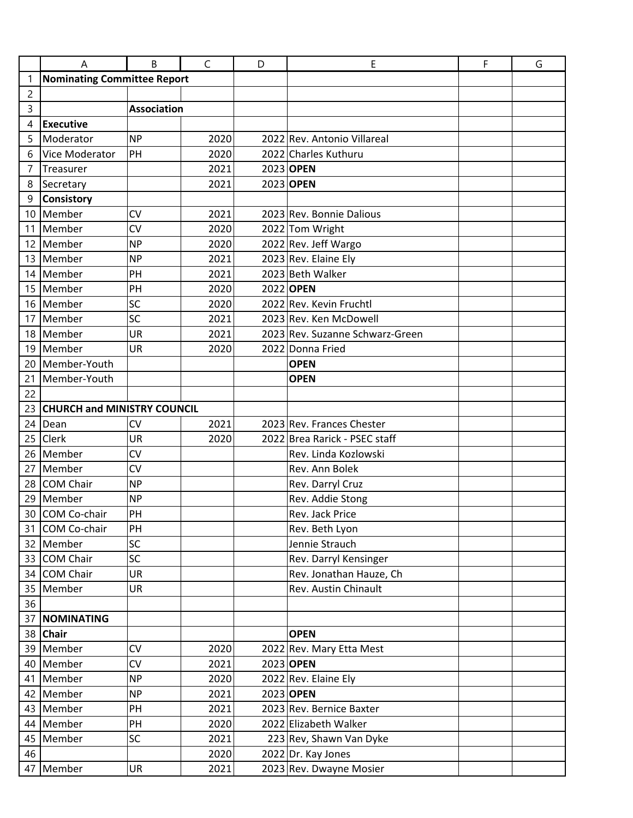|                | A                                  | B                  | $\mathsf{C}$ | D | E                               | F | G |
|----------------|------------------------------------|--------------------|--------------|---|---------------------------------|---|---|
| 1              | Nominating Committee Report        |                    |              |   |                                 |   |   |
| $\overline{c}$ |                                    |                    |              |   |                                 |   |   |
| 3              |                                    | <b>Association</b> |              |   |                                 |   |   |
| 4              | <b>Executive</b>                   |                    |              |   |                                 |   |   |
| 5              | Moderator                          | <b>NP</b>          | 2020         |   | 2022 Rev. Antonio Villareal     |   |   |
| 6              | Vice Moderator                     | PH                 | 2020         |   | 2022 Charles Kuthuru            |   |   |
| 7              | Treasurer                          |                    | 2021         |   | 2023 OPEN                       |   |   |
| 8              | Secretary                          |                    | 2021         |   | 2023 OPEN                       |   |   |
| 9              | <b>Consistory</b>                  |                    |              |   |                                 |   |   |
| 10             | Member                             | CV                 | 2021         |   | 2023 Rev. Bonnie Dalious        |   |   |
| 11             | Member                             | <b>CV</b>          | 2020         |   | 2022 Tom Wright                 |   |   |
| 12             | Member                             | <b>NP</b>          | 2020         |   | 2022 Rev. Jeff Wargo            |   |   |
| 13             | Member                             | <b>NP</b>          | 2021         |   | 2023 Rev. Elaine Ely            |   |   |
| 14             | Member                             | PH                 | 2021         |   | 2023 Beth Walker                |   |   |
| 15             | Member                             | PH                 | 2020         |   | 2022 OPEN                       |   |   |
| 16             | Member                             | SC                 | 2020         |   | 2022 Rev. Kevin Fruchtl         |   |   |
| 17             | Member                             | SC                 | 2021         |   | 2023 Rev. Ken McDowell          |   |   |
| 18             | Member                             | <b>UR</b>          | 2021         |   | 2023 Rev. Suzanne Schwarz-Green |   |   |
| 19             | Member                             | <b>UR</b>          | 2020         |   | 2022 Donna Fried                |   |   |
| 20             | Member-Youth                       |                    |              |   | <b>OPEN</b>                     |   |   |
| 21             | Member-Youth                       |                    |              |   | <b>OPEN</b>                     |   |   |
| 22             |                                    |                    |              |   |                                 |   |   |
| 23             | <b>CHURCH and MINISTRY COUNCIL</b> |                    |              |   |                                 |   |   |
| 24             | Dean                               | <b>CV</b>          | 2021         |   | 2023 Rev. Frances Chester       |   |   |
| 25             | <b>Clerk</b>                       | <b>UR</b>          | 2020         |   | 2022 Brea Rarick - PSEC staff   |   |   |
| 26             | Member                             | <b>CV</b>          |              |   | Rev. Linda Kozlowski            |   |   |
| 27             | Member                             | <b>CV</b>          |              |   | Rev. Ann Bolek                  |   |   |
| 28             | <b>COM Chair</b>                   | <b>NP</b>          |              |   | Rev. Darryl Cruz                |   |   |
| 29             | Member                             | <b>NP</b>          |              |   | Rev. Addie Stong                |   |   |
| 30             | COM Co-chair                       | PH                 |              |   | Rev. Jack Price                 |   |   |
| 31             | COM Co-chair                       | PH                 |              |   | Rev. Beth Lyon                  |   |   |
|                | 32 Member                          | SC                 |              |   | Jennie Strauch                  |   |   |
| 33             | <b>COM Chair</b>                   | SC                 |              |   | Rev. Darryl Kensinger           |   |   |
| 34             | COM Chair                          | <b>UR</b>          |              |   | Rev. Jonathan Hauze, Ch         |   |   |
|                | 35 Member                          | UR                 |              |   | Rev. Austin Chinault            |   |   |
| 36             |                                    |                    |              |   |                                 |   |   |
| 37             | <b>NOMINATING</b>                  |                    |              |   |                                 |   |   |
| 38             | <b>Chair</b>                       |                    |              |   | <b>OPEN</b>                     |   |   |
|                | 39 Member                          | CV                 | 2020         |   | 2022 Rev. Mary Etta Mest        |   |   |
|                | 40 Member                          | CV                 | 2021         |   | 2023 OPEN                       |   |   |
| 41             | Member                             | <b>NP</b>          | 2020         |   | 2022 Rev. Elaine Ely            |   |   |
|                | 42 Member                          | <b>NP</b>          | 2021         |   | 2023 OPEN                       |   |   |
| 43             | Member                             | PH                 | 2021         |   | 2023 Rev. Bernice Baxter        |   |   |
|                | 44 Member                          | PH                 | 2020         |   | 2022 Elizabeth Walker           |   |   |
|                | 45 Member                          | <b>SC</b>          | 2021         |   | 223 Rev, Shawn Van Dyke         |   |   |
| 46             |                                    |                    | 2020         |   | 2022 Dr. Kay Jones              |   |   |
|                | 47 Member                          | <b>UR</b>          | 2021         |   | 2023 Rev. Dwayne Mosier         |   |   |